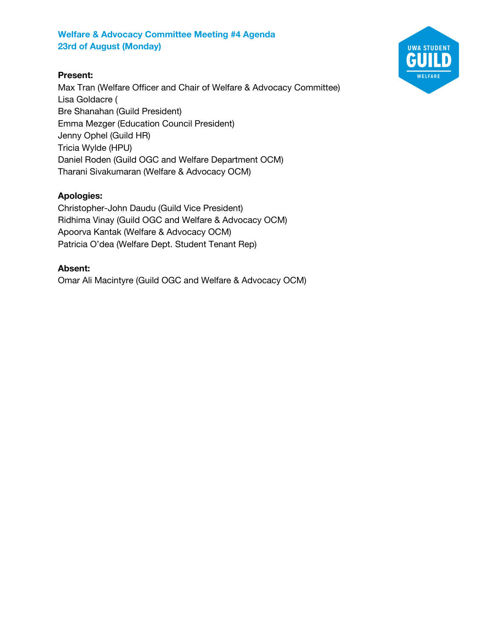### **Present:**

Max Tran (Welfare Officer and Chair of Welfare & Advocacy Committee) Lisa Goldacre ( Bre Shanahan (Guild President) Emma Mezger (Education Council President) Jenny Ophel (Guild HR) Tricia Wylde (HPU) Daniel Roden (Guild OGC and Welfare Department OCM) Tharani Sivakumaran (Welfare & Advocacy OCM)

### **Apologies:**

Christopher-John Daudu (Guild Vice President) Ridhima Vinay (Guild OGC and Welfare & Advocacy OCM) Apoorva Kantak (Welfare & Advocacy OCM) Patricia O'dea (Welfare Dept. Student Tenant Rep)

#### **Absent:**

Omar Ali Macintyre (Guild OGC and Welfare & Advocacy OCM)

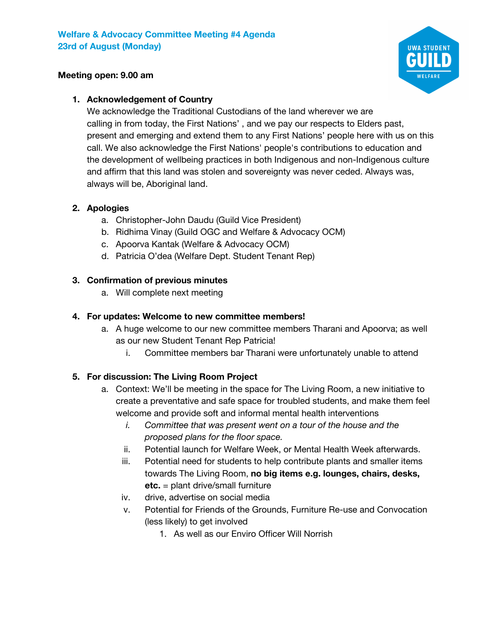

#### **Meeting open: 9.00 am**

### **1. Acknowledgement of Country**

We acknowledge the Traditional Custodians of the land wherever we are calling in from today, the First Nations' , and we pay our respects to Elders past, present and emerging and extend them to any First Nations' people here with us on this call. We also acknowledge the First Nations' people's contributions to education and the development of wellbeing practices in both Indigenous and non-Indigenous culture and affirm that this land was stolen and sovereignty was never ceded. Always was, always will be, Aboriginal land.

#### **2. Apologies**

- a. Christopher-John Daudu (Guild Vice President)
- b. Ridhima Vinay (Guild OGC and Welfare & Advocacy OCM)
- c. Apoorva Kantak (Welfare & Advocacy OCM)
- d. Patricia O'dea (Welfare Dept. Student Tenant Rep)

#### **3. Confirmation of previous minutes**

a. Will complete next meeting

#### **4. For updates: Welcome to new committee members!**

- a. A huge welcome to our new committee members Tharani and Apoorva; as well as our new Student Tenant Rep Patricia!
	- i. Committee members bar Tharani were unfortunately unable to attend

### **5. For discussion: The Living Room Project**

- a. Context: We'll be meeting in the space for The Living Room, a new initiative to create a preventative and safe space for troubled students, and make them feel welcome and provide soft and informal mental health interventions
	- *i. Committee that was present went on a tour of the house and the proposed plans for the floor space.*
	- ii. Potential launch for Welfare Week, or Mental Health Week afterwards.
	- iii. Potential need for students to help contribute plants and smaller items towards The Living Room, **no big items e.g. lounges, chairs, desks, etc.** = plant drive/small furniture
	- iv. drive, advertise on social media
	- v. Potential for Friends of the Grounds, Furniture Re-use and Convocation (less likely) to get involved
		- 1. As well as our Enviro Officer Will Norrish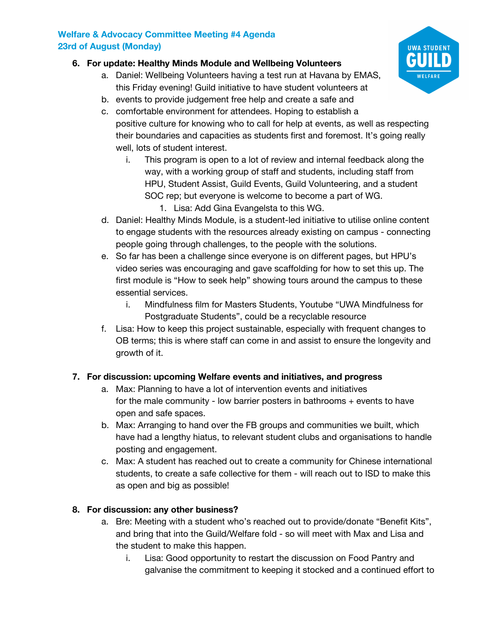# **6. For update: Healthy Minds Module and Wellbeing Volunteers**

- a. Daniel: Wellbeing Volunteers having a test run at Havana by EMAS, this Friday evening! Guild initiative to have student volunteers at
- b. events to provide judgement free help and create a safe and
- c. comfortable environment for attendees. Hoping to establish a positive culture for knowing who to call for help at events, as well as respecting their boundaries and capacities as students first and foremost. It's going really well, lots of student interest.
	- i. This program is open to a lot of review and internal feedback along the way, with a working group of staff and students, including staff from HPU, Student Assist, Guild Events, Guild Volunteering, and a student SOC rep; but everyone is welcome to become a part of WG.
		- 1. Lisa: Add Gina Evangelsta to this WG.
- d. Daniel: Healthy Minds Module, is a student-led initiative to utilise online content to engage students with the resources already existing on campus - connecting people going through challenges, to the people with the solutions.
- e. So far has been a challenge since everyone is on different pages, but HPU's video series was encouraging and gave scaffolding for how to set this up. The first module is "How to seek help" showing tours around the campus to these essential services.
	- i. Mindfulness film for Masters Students, Youtube "UWA Mindfulness for Postgraduate Students", could be a recyclable resource
- f. Lisa: How to keep this project sustainable, especially with frequent changes to OB terms; this is where staff can come in and assist to ensure the longevity and growth of it.

# **7. For discussion: upcoming Welfare events and initiatives, and progress**

- a. Max: Planning to have a lot of intervention events and initiatives for the male community - low barrier posters in bathrooms + events to have open and safe spaces.
- b. Max: Arranging to hand over the FB groups and communities we built, which have had a lengthy hiatus, to relevant student clubs and organisations to handle posting and engagement.
- c. Max: A student has reached out to create a community for Chinese international students, to create a safe collective for them - will reach out to ISD to make this as open and big as possible!

# **8. For discussion: any other business?**

- a. Bre: Meeting with a student who's reached out to provide/donate "Benefit Kits", and bring that into the Guild/Welfare fold - so will meet with Max and Lisa and the student to make this happen.
	- i. Lisa: Good opportunity to restart the discussion on Food Pantry and galvanise the commitment to keeping it stocked and a continued effort to